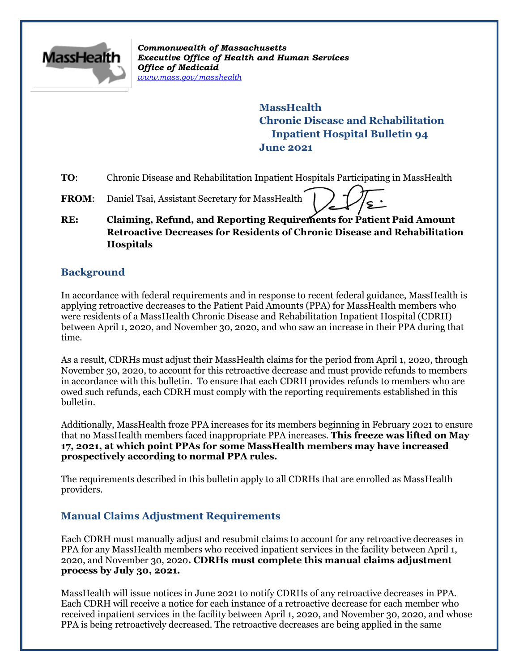

*Commonwealth of Massachusetts Executive Office of Health and Human Services Office of Medicaid [www.mass.gov/masshealth](http://www.mass.gov/masshealth)*

> **MassHealth Chronic Disease and Rehabilitation Inpatient Hospital Bulletin 94 June 2021**

- **TO:** Chronic Disease and Rehabilitation Inpatient Hospitals Participating in MassHealth
- FROM: Daniel Tsai, Assistant Secretary for MassHealth
- **RE: Claiming, Refund, and Reporting Requirements for Patient Paid Amount Retroactive Decreases for Residents of Chronic Disease and Rehabilitation Hospitals**

### **Background**

In accordance with federal requirements and in response to recent federal guidance, MassHealth is applying retroactive decreases to the Patient Paid Amounts (PPA) for MassHealth members who were residents of a MassHealth Chronic Disease and Rehabilitation Inpatient Hospital (CDRH) between April 1, 2020, and November 30, 2020, and who saw an increase in their PPA during that time.

As a result, CDRHs must adjust their MassHealth claims for the period from April 1, 2020, through November 30, 2020, to account for this retroactive decrease and must provide refunds to members in accordance with this bulletin. To ensure that each CDRH provides refunds to members who are owed such refunds, each CDRH must comply with the reporting requirements established in this bulletin.

Additionally, MassHealth froze PPA increases for its members beginning in February 2021 to ensure that no MassHealth members faced inappropriate PPA increases. **This freeze was lifted on May 17, 2021, at which point PPAs for some MassHealth members may have increased prospectively according to normal PPA rules.**

The requirements described in this bulletin apply to all CDRHs that are enrolled as MassHealth providers.

# **Manual Claims Adjustment Requirements**

Each CDRH must manually adjust and resubmit claims to account for any retroactive decreases in PPA for any MassHealth members who received inpatient services in the facility between April 1, 2020, and November 30, 2020**. CDRHs must complete this manual claims adjustment process by July 30, 2021.** 

MassHealth will issue notices in June 2021 to notify CDRHs of any retroactive decreases in PPA. Each CDRH will receive a notice for each instance of a retroactive decrease for each member who received inpatient services in the facility between April 1, 2020, and November 30, 2020, and whose PPA is being retroactively decreased. The retroactive decreases are being applied in the same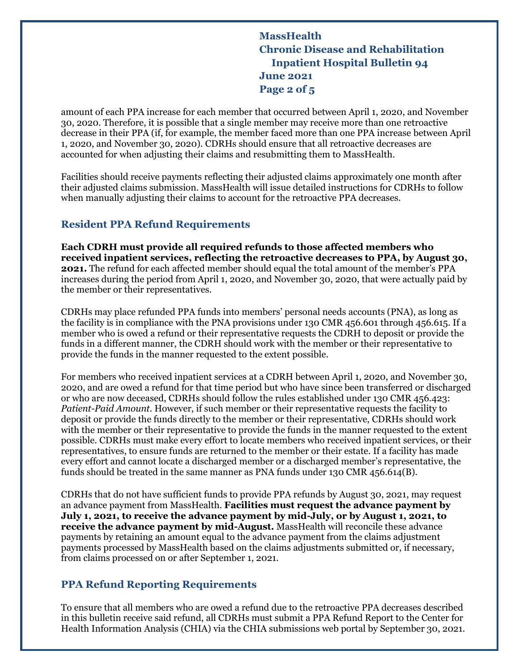**MassHealth Chronic Disease and Rehabilitation Inpatient Hospital Bulletin 94 June 2021 Page 2 of 5**

amount of each PPA increase for each member that occurred between April 1, 2020, and November 30, 2020. Therefore, it is possible that a single member may receive more than one retroactive decrease in their PPA (if, for example, the member faced more than one PPA increase between April 1, 2020, and November 30, 2020). CDRHs should ensure that all retroactive decreases are accounted for when adjusting their claims and resubmitting them to MassHealth.

Facilities should receive payments reflecting their adjusted claims approximately one month after their adjusted claims submission. MassHealth will issue detailed instructions for CDRHs to follow when manually adjusting their claims to account for the retroactive PPA decreases.

### **Resident PPA Refund Requirements**

**Each CDRH must provide all required refunds to those affected members who received inpatient services, reflecting the retroactive decreases to PPA, by August 30, 2021.** The refund for each affected member should equal the total amount of the member's PPA increases during the period from April 1, 2020, and November 30, 2020, that were actually paid by the member or their representatives.

CDRHs may place refunded PPA funds into members' personal needs accounts (PNA), as long as the facility is in compliance with the PNA provisions under 130 CMR 456.601 through 456.615. If a member who is owed a refund or their representative requests the CDRH to deposit or provide the funds in a different manner, the CDRH should work with the member or their representative to provide the funds in the manner requested to the extent possible.

For members who received inpatient services at a CDRH between April 1, 2020, and November 30, 2020, and are owed a refund for that time period but who have since been transferred or discharged or who are now deceased, CDRHs should follow the rules established under 130 CMR 456.423: *Patient-Paid Amount*. However, if such member or their representative requests the facility to deposit or provide the funds directly to the member or their representative, CDRHs should work with the member or their representative to provide the funds in the manner requested to the extent possible. CDRHs must make every effort to locate members who received inpatient services, or their representatives, to ensure funds are returned to the member or their estate. If a facility has made every effort and cannot locate a discharged member or a discharged member's representative, the funds should be treated in the same manner as PNA funds under 130 CMR 456.614(B).

CDRHs that do not have sufficient funds to provide PPA refunds by August 30, 2021, may request an advance payment from MassHealth. **Facilities must request the advance payment by July 1, 2021, to receive the advance payment by mid-July, or by August 1, 2021, to receive the advance payment by mid-August.** MassHealth will reconcile these advance payments by retaining an amount equal to the advance payment from the claims adjustment payments processed by MassHealth based on the claims adjustments submitted or, if necessary, from claims processed on or after September 1, 2021.

# **PPA Refund Reporting Requirements**

To ensure that all members who are owed a refund due to the retroactive PPA decreases described in this bulletin receive said refund, all CDRHs must submit a PPA Refund Report to the Center for Health Information Analysis (CHIA) via the CHIA submissions web portal by September 30, 2021.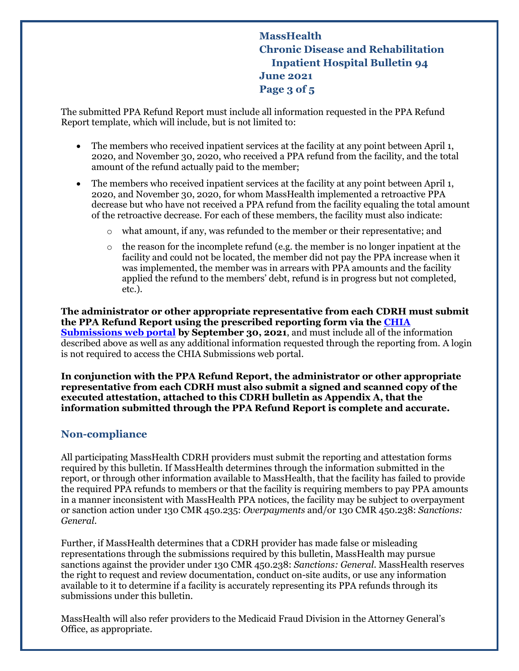**MassHealth Chronic Disease and Rehabilitation Inpatient Hospital Bulletin 94 June 2021 Page 3 of 5**

The submitted PPA Refund Report must include all information requested in the PPA Refund Report template, which will include, but is not limited to:

- The members who received inpatient services at the facility at any point between April 1, 2020, and November 30, 2020, who received a PPA refund from the facility, and the total amount of the refund actually paid to the member;
- The members who received inpatient services at the facility at any point between April 1, 2020, and November 30, 2020, for whom MassHealth implemented a retroactive PPA decrease but who have not received a PPA refund from the facility equaling the total amount of the retroactive decrease. For each of these members, the facility must also indicate:
	- o what amount, if any, was refunded to the member or their representative; and
	- o the reason for the incomplete refund (e.g. the member is no longer inpatient at the facility and could not be located, the member did not pay the PPA increase when it was implemented, the member was in arrears with PPA amounts and the facility applied the refund to the members' debt, refund is in progress but not completed, etc.).

**The administrator or other appropriate representative from each CDRH must submit the PPA Refund Report using the prescribed reporting form via the [CHIA](https://chiasubmissions.chia.state.ma.us/NHPDR/)  [Submissions web portal](https://chiasubmissions.chia.state.ma.us/NHPDR/) by September 30, 2021**, and must include all of the information described above as well as any additional information requested through the reporting from. A login is not required to access the CHIA Submissions web portal.

**In conjunction with the PPA Refund Report, the administrator or other appropriate representative from each CDRH must also submit a signed and scanned copy of the executed attestation, attached to this CDRH bulletin as Appendix A, that the information submitted through the PPA Refund Report is complete and accurate.**

#### **Non-compliance**

All participating MassHealth CDRH providers must submit the reporting and attestation forms required by this bulletin. If MassHealth determines through the information submitted in the report, or through other information available to MassHealth, that the facility has failed to provide the required PPA refunds to members or that the facility is requiring members to pay PPA amounts in a manner inconsistent with MassHealth PPA notices, the facility may be subject to overpayment or sanction action under 130 CMR 450.235: *Overpayments* and/or 130 CMR 450.238: *Sanctions: General*.

Further, if MassHealth determines that a CDRH provider has made false or misleading representations through the submissions required by this bulletin, MassHealth may pursue sanctions against the provider under 130 CMR 450.238: *Sanctions: General*. MassHealth reserves the right to request and review documentation, conduct on-site audits, or use any information available to it to determine if a facility is accurately representing its PPA refunds through its submissions under this bulletin.

MassHealth will also refer providers to the Medicaid Fraud Division in the Attorney General's Office, as appropriate.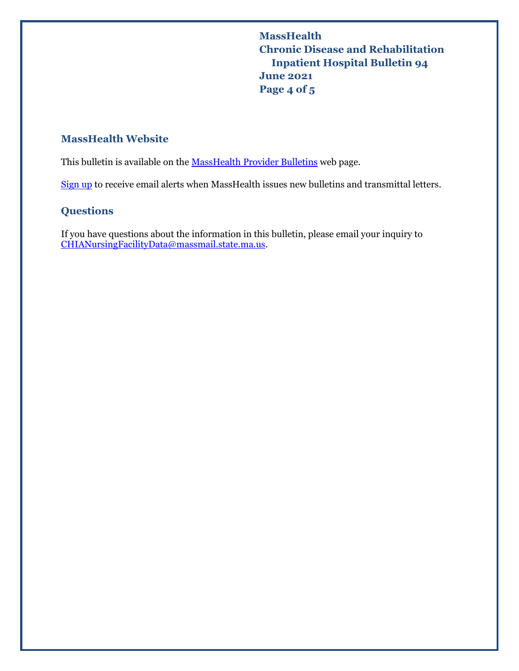**MassHealth Chronic Disease and Rehabilitation Inpatient Hospital Bulletin 94 June 2021 Page 4 of 5**

## **MassHealth Website**

This bulletin is available on th[e MassHealth Provider Bulletins](http://www.mass.gov/masshealth-provider-bulletins) web page.

[Sign up](https://www.mass.gov/forms/email-notifications-for-masshealth-provider-bulletins-and-transmittal-letters) to receive email alerts when MassHealth issues new bulletins and transmittal letters.

# **Questions**

If you have questions about the information in this bulletin, please email your inquiry to [CHIANursingFacilityData@massmail.state.ma.us.](mailto:CHIANursingFacilityData@massmail.state.ma.us)